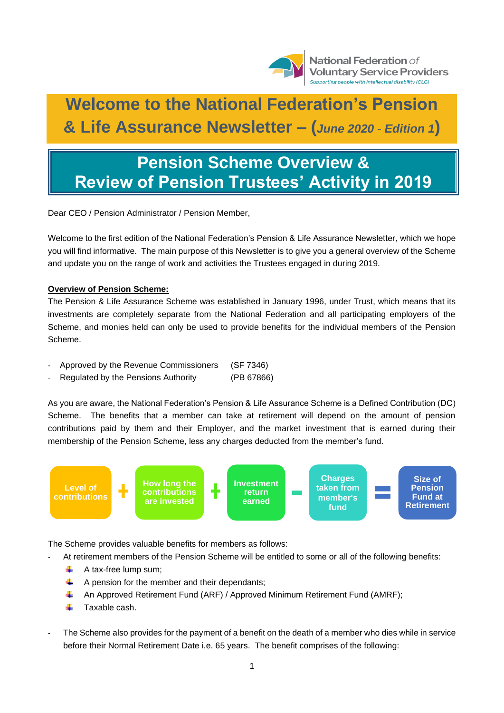

National Federation of **Voluntary Service Providers** Supporting people with intellectual disability (CLG)

# **Welcome to the National Federation's Pension & Life Assurance Newsletter – (***June 2020 - Edition 1***)**

# **Pension Scheme Overview & Review of Pension Trustees' Activity in 2019**

Dear CEO / Pension Administrator / Pension Member,

Welcome to the first edition of the National Federation's Pension & Life Assurance Newsletter, which we hope you will find informative. The main purpose of this Newsletter is to give you a general overview of the Scheme and update you on the range of work and activities the Trustees engaged in during 2019.

# **Overview of Pension Scheme:**

The Pension & Life Assurance Scheme was established in January 1996, under Trust, which means that its investments are completely separate from the National Federation and all participating employers of the Scheme, and monies held can only be used to provide benefits for the individual members of the Pension Scheme.

- Approved by the Revenue Commissioners (SF 7346)
- Regulated by the Pensions Authority (PB 67866)

As you are aware, the National Federation's Pension & Life Assurance Scheme is a Defined Contribution (DC) Scheme. The benefits that a member can take at retirement will depend on the amount of pension contributions paid by them and their Employer, and the market investment that is earned during their membership of the Pension Scheme, less any charges deducted from the member's fund.



The Scheme provides valuable benefits for members as follows:

- At retirement members of the Pension Scheme will be entitled to some or all of the following benefits:
	- 4. A tax-free lump sum;
	- ÷ A pension for the member and their dependants;
	- An Approved Retirement Fund (ARF) / Approved Minimum Retirement Fund (AMRF); ÷
	- a. Taxable cash.
- The Scheme also provides for the payment of a benefit on the death of a member who dies while in service before their Normal Retirement Date i.e. 65 years. The benefit comprises of the following: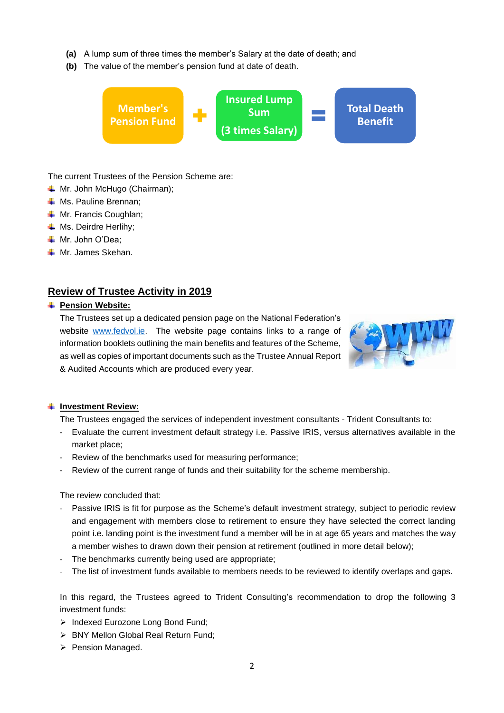- **(a)** A lump sum of three times the member's Salary at the date of death; and
- **(b)** The value of the member's pension fund at date of death.



The current Trustees of the Pension Scheme are:

- **↓** Mr. John McHugo (Chairman);
- **↓** Ms. Pauline Brennan;
- **↓** Mr. Francis Coughlan;
- **↓** Ms. Deirdre Herlihy;
- **↓** Mr. John O'Dea:
- $\textcolor{red}{\blacksquare}$  Mr. James Skehan.

# **Review of Trustee Activity in 2019**

#### $⊩$  Pension Website:

The Trustees set up a dedicated pension page on the National Federation's website [www.fedvol.ie.](http://www.fedvol.ie/) The website page contains links to a range of information booklets outlining the main benefits and features of the Scheme, as well as copies of important documents such as the Trustee Annual Report & Audited Accounts which are produced every year.



#### **F** Investment Review:

The Trustees engaged the services of independent investment consultants - Trident Consultants to:

- Evaluate the current investment default strategy i.e. Passive IRIS, versus alternatives available in the market place;
- Review of the benchmarks used for measuring performance;
- Review of the current range of funds and their suitability for the scheme membership.

#### The review concluded that:

- Passive IRIS is fit for purpose as the Scheme's default investment strategy, subject to periodic review and engagement with members close to retirement to ensure they have selected the correct landing point i.e. landing point is the investment fund a member will be in at age 65 years and matches the way a member wishes to drawn down their pension at retirement (outlined in more detail below);
- The benchmarks currently being used are appropriate;
- The list of investment funds available to members needs to be reviewed to identify overlaps and gaps.

In this regard, the Trustees agreed to Trident Consulting's recommendation to drop the following 3 investment funds:

- ➢ Indexed Eurozone Long Bond Fund;
- ➢ BNY Mellon Global Real Return Fund;
- ➢ Pension Managed.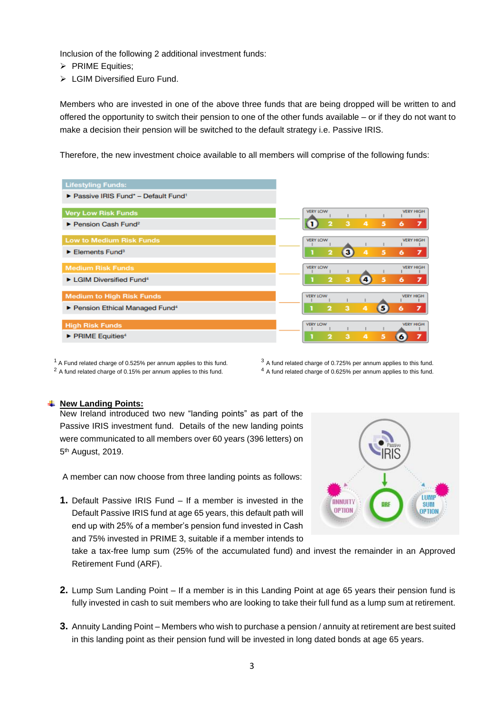Inclusion of the following 2 additional investment funds:

- ➢ PRIME Equities;
- ➢ LGIM Diversified Euro Fund.

Members who are invested in one of the above three funds that are being dropped will be written to and offered the opportunity to switch their pension to one of the other funds available – or if they do not want to make a decision their pension will be switched to the default strategy i.e. Passive IRIS.

Therefore, the new investment choice available to all members will comprise of the following funds:



 $1$  A Fund related charge of 0.525% per annum applies to this fund.  $3$  A fund related charge of 0.725% per annum applies to this fund. <sup>2</sup> A fund related charge of 0.15% per annum applies to this fund. <sup>4</sup> A fund related charge of 0.625% per annum applies to this fund.

#### **New Landing Points:**

New Ireland introduced two new "landing points" as part of the Passive IRIS investment fund. Details of the new landing points were communicated to all members over 60 years (396 letters) on 5<sup>th</sup> August, 2019.

A member can now choose from three landing points as follows:

**1.** Default Passive IRIS Fund – If a member is invested in the Default Passive IRIS fund at age 65 years, this default path will end up with 25% of a member's pension fund invested in Cash and 75% invested in PRIME 3, suitable if a member intends to



take a tax-free lump sum (25% of the accumulated fund) and invest the remainder in an Approved Retirement Fund (ARF).

- **2.** Lump Sum Landing Point If a member is in this Landing Point at age 65 years their pension fund is fully invested in cash to suit members who are looking to take their full fund as a lump sum at retirement.
- **3.** Annuity Landing Point Members who wish to purchase a pension / annuity at retirement are best suited in this landing point as their pension fund will be invested in long dated bonds at age 65 years.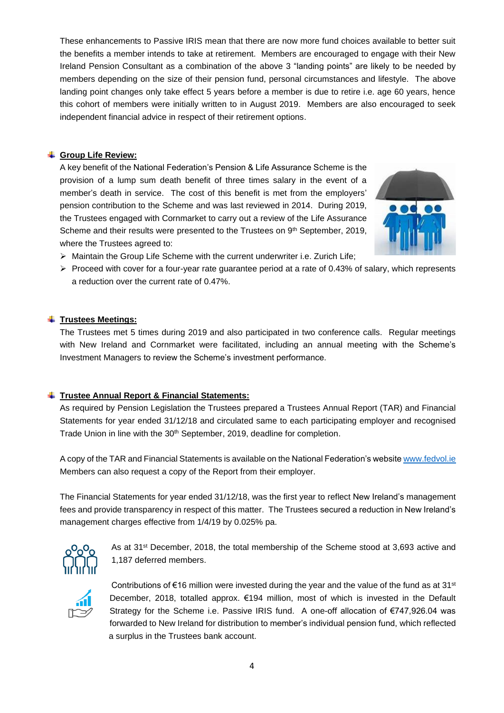These enhancements to Passive IRIS mean that there are now more fund choices available to better suit the benefits a member intends to take at retirement. Members are encouraged to engage with their New Ireland Pension Consultant as a combination of the above 3 "landing points" are likely to be needed by members depending on the size of their pension fund, personal circumstances and lifestyle. The above landing point changes only take effect 5 years before a member is due to retire i.e. age 60 years, hence this cohort of members were initially written to in August 2019. Members are also encouraged to seek independent financial advice in respect of their retirement options.

# **Group Life Review:**

A key benefit of the National Federation's Pension & Life Assurance Scheme is the provision of a lump sum death benefit of three times salary in the event of a member's death in service. The cost of this benefit is met from the employers' pension contribution to the Scheme and was last reviewed in 2014. During 2019, the Trustees engaged with Cornmarket to carry out a review of the Life Assurance Scheme and their results were presented to the Trustees on 9<sup>th</sup> September, 2019, where the Trustees agreed to:



- $\triangleright$  Maintain the Group Life Scheme with the current underwriter i.e. Zurich Life;
- $\triangleright$  Proceed with cover for a four-year rate guarantee period at a rate of 0.43% of salary, which represents a reduction over the current rate of 0.47%.

#### **Trustees Meetings:**

The Trustees met 5 times during 2019 and also participated in two conference calls. Regular meetings with New Ireland and Cornmarket were facilitated, including an annual meeting with the Scheme's Investment Managers to review the Scheme's investment performance.

# **Trustee Annual Report & Financial Statements:**

As required by Pension Legislation the Trustees prepared a Trustees Annual Report (TAR) and Financial Statements for year ended 31/12/18 and circulated same to each participating employer and recognised Trade Union in line with the 30<sup>th</sup> September, 2019, deadline for completion.

A copy of the TAR and Financial Statements is available on the National Federation's website [www.fedvol.ie](http://www.fedvol.ie/) Members can also request a copy of the Report from their employer.

The Financial Statements for year ended 31/12/18, was the first year to reflect New Ireland's management fees and provide transparency in respect of this matter. The Trustees secured a reduction in New Ireland's management charges effective from 1/4/19 by 0.025% pa.



As at 31st December, 2018, the total membership of the Scheme stood at 3,693 active and 1,187 deferred members.



Contributions of  $\epsilon$ 16 million were invested during the year and the value of the fund as at 31<sup>st</sup> December, 2018, totalled approx. €194 million, most of which is invested in the Default Strategy for the Scheme i.e. Passive IRIS fund. A one-off allocation of €747,926.04 was forwarded to New Ireland for distribution to member's individual pension fund, which reflected a surplus in the Trustees bank account.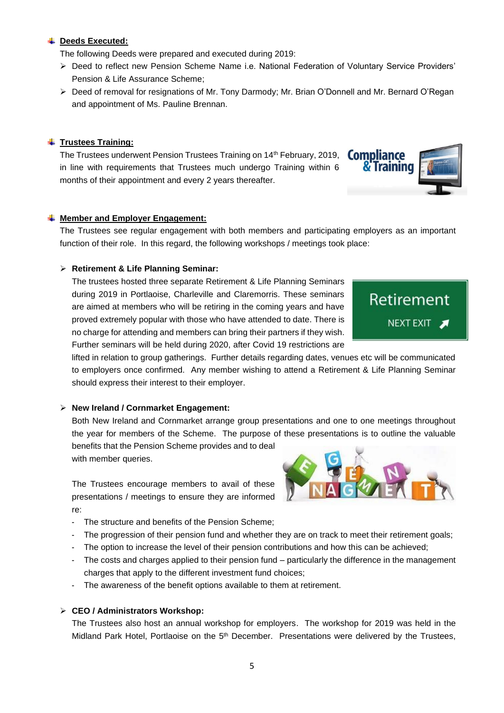#### **Deeds Executed:**

The following Deeds were prepared and executed during 2019:

- ➢ Deed to reflect new Pension Scheme Name i.e. National Federation of Voluntary Service Providers' Pension & Life Assurance Scheme;
- ➢ Deed of removal for resignations of Mr. Tony Darmody; Mr. Brian O'Donnell and Mr. Bernard O'Regan and appointment of Ms. Pauline Brennan.

#### **Trustees Training:**

The Trustees underwent Pension Trustees Training on 14<sup>th</sup> February, 2019, in line with requirements that Trustees much undergo Training within 6 months of their appointment and every 2 years thereafter.

### $\frac{1}{\sqrt{1}}$  Member and Employer Engagement:

The Trustees see regular engagement with both members and participating employers as an important function of their role. In this regard, the following workshops / meetings took place:

#### ➢ **Retirement & Life Planning Seminar:**

The trustees hosted three separate Retirement & Life Planning Seminars during 2019 in Portlaoise, Charleville and Claremorris. These seminars are aimed at members who will be retiring in the coming years and have proved extremely popular with those who have attended to date. There is no charge for attending and members can bring their partners if they wish. Further seminars will be held during 2020, after Covid 19 restrictions are

lifted in relation to group gatherings. Further details regarding dates, venues etc will be communicated to employers once confirmed. Any member wishing to attend a Retirement & Life Planning Seminar should express their interest to their employer.

#### ➢ **New Ireland / Cornmarket Engagement:**

Both New Ireland and Cornmarket arrange group presentations and one to one meetings throughout the year for members of the Scheme. The purpose of these presentations is to outline the valuable

benefits that the Pension Scheme provides and to deal with member queries.

The Trustees encourage members to avail of these presentations / meetings to ensure they are informed re:

- The structure and benefits of the Pension Scheme;
- The progression of their pension fund and whether they are on track to meet their retirement goals;
- The option to increase the level of their pension contributions and how this can be achieved;
- The costs and charges applied to their pension fund particularly the difference in the management charges that apply to the different investment fund choices;
- The awareness of the benefit options available to them at retirement.

#### ➢ **CEO / Administrators Workshop:**

The Trustees also host an annual workshop for employers. The workshop for 2019 was held in the Midland Park Hotel, Portlaoise on the 5<sup>th</sup> December. Presentations were delivered by the Trustees,





Retirement

NEXT EXIT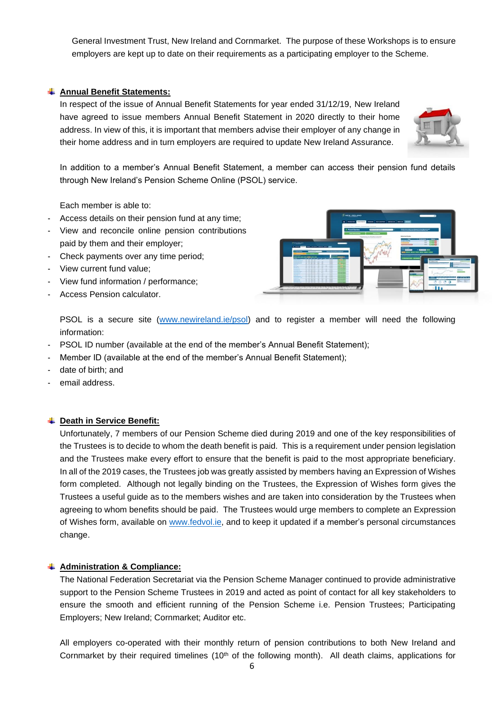General Investment Trust, New Ireland and Cornmarket. The purpose of these Workshops is to ensure employers are kept up to date on their requirements as a participating employer to the Scheme.

### **Annual Benefit Statements:**

In respect of the issue of Annual Benefit Statements for year ended 31/12/19, New Ireland have agreed to issue members Annual Benefit Statement in 2020 directly to their home address. In view of this, it is important that members advise their employer of any change in their home address and in turn employers are required to update New Ireland Assurance.



In addition to a member's Annual Benefit Statement, a member can access their pension fund details through New Ireland's Pension Scheme Online (PSOL) service.

Each member is able to:

- Access details on their pension fund at any time;
- View and reconcile online pension contributions paid by them and their employer;
- Check payments over any time period;
- View current fund value;
- View fund information / performance;
- Access Pension calculator.



PSOL is a secure site [\(www.newireland.ie/psol\)](http://www.newireland.ie/psol) and to register a member will need the following information:

- PSOL ID number (available at the end of the member's Annual Benefit Statement);
- Member ID (available at the end of the member's Annual Benefit Statement);
- date of birth; and
- email address.

#### **Death in Service Benefit:**

Unfortunately, 7 members of our Pension Scheme died during 2019 and one of the key responsibilities of the Trustees is to decide to whom the death benefit is paid. This is a requirement under pension legislation and the Trustees make every effort to ensure that the benefit is paid to the most appropriate beneficiary. In all of the 2019 cases, the Trustees job was greatly assisted by members having an Expression of Wishes form completed. Although not legally binding on the Trustees, the Expression of Wishes form gives the Trustees a useful guide as to the members wishes and are taken into consideration by the Trustees when agreeing to whom benefits should be paid. The Trustees would urge members to complete an Expression of Wishes form, available on [www.fedvol.ie,](http://www.fedvol.ie/) and to keep it updated if a member's personal circumstances change.

#### **Administration & Compliance:**

The National Federation Secretariat via the Pension Scheme Manager continued to provide administrative support to the Pension Scheme Trustees in 2019 and acted as point of contact for all key stakeholders to ensure the smooth and efficient running of the Pension Scheme i.e. Pension Trustees; Participating Employers; New Ireland; Cornmarket; Auditor etc.

All employers co-operated with their monthly return of pension contributions to both New Ireland and Cornmarket by their required timelines (10<sup>th</sup> of the following month). All death claims, applications for